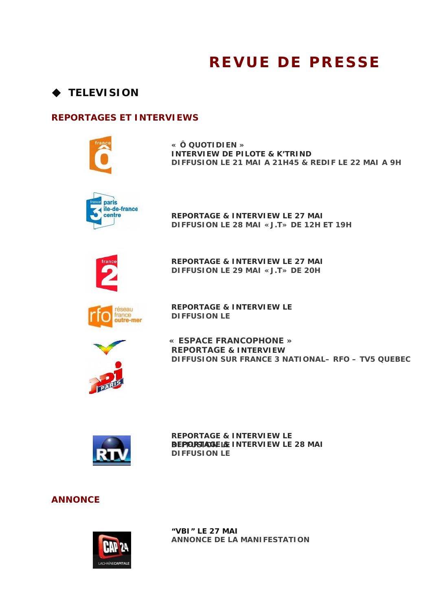## **REVUE DE PRESSE**

## **TELEVISION**

## **REPORTAGES ET INTERVIEWS**



**« Ô QUOTIDIEN » INTERVIEW DE PILOTE & K'TRIND**  *DIFFUSION LE 21 MAI A 21H45 & REDIF LE 22 MAI A 9H* 



**R EPORTAGE & INTERVIEW LE 27 MAI**  *D IFFUSION LE 28 MAI «J.T» DE 12H ET 19H* 



**R EPORTAGE & INTERVIEW LE 27 MAI**  *D IFFUSION LE 29 MAI «J.T» DE 20H* 



**REPORTAGE & INTERVIEW LE**  *DIFFUSION LE*



 **« ESPACE FRANCOPHONE » DIFFUSION SUR FRANCE 3 NATIONAL- RFO - TV5 QUEBEC REPORTAGE & INTERVIEW**



**REPORTAGE & INTERVIEW LE**  *D***R***IFFUSION LE*  **EPORTAGE & INTERVIEW LE 28 MAI**  *D IFFUSION LE* 

## **ANNONCE**



**"VBI" LE 27 MAI**  *ANNONCE DE LA MANIFESTATION*